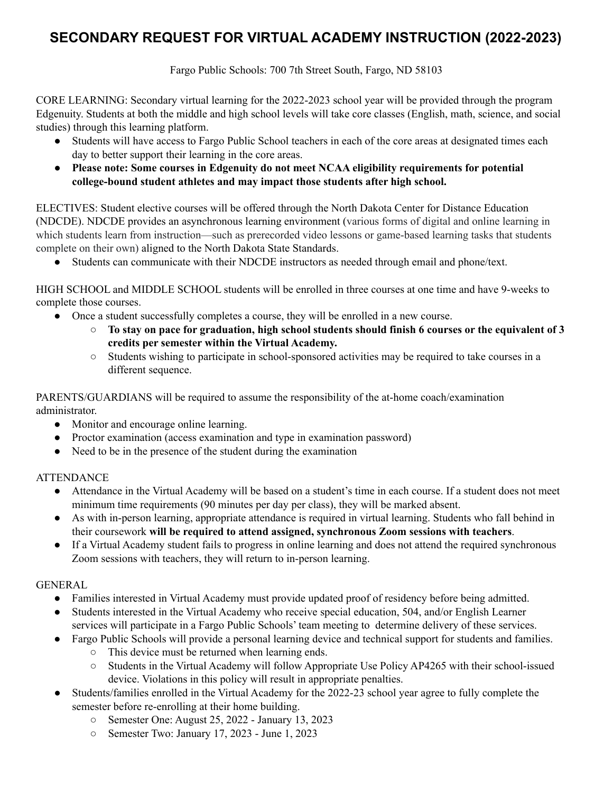# **SECONDARY REQUEST FOR VIRTUAL ACADEMY INSTRUCTION (2022-2023)**

Fargo Public Schools: 700 7th Street South, Fargo, ND 58103

 CORE LEARNING: Secondary virtual learning for the 2022-2023 school year will be provided through the program Edgenuity. Students at both the middle and high school levels will take core classes (English, math, science, and social studies) through this learning platform.

- ● Students will have access to Fargo Public School teachers in each of the core areas at designated times each day to better support their learning in the core areas.
- **● Please note: Some courses in Edgenuity do not meet NCAA eligibility requirements for potential college-bound student athletes and may impact those students after high school.**

 ELECTIVES: Student elective courses will be offered through the North Dakota Center for Distance Education (NDCDE). NDCDE provides an asynchronous learning environment (various forms of digital and online learning in which students learn from instruction—such as prerecorded video lessons or game-based learning tasks that students complete on their own) aligned to the North Dakota State Standards.

● Students can communicate with their NDCDE instructors as needed through email and phone/text.

 HIGH SCHOOL and MIDDLE SCHOOL students will be enrolled in three courses at one time and have 9-weeks to complete those courses.

- ● Once a student successfully completes a course, they will be enrolled in a new course.
	- $\circ$  To stay on pace for graduation, high school students should finish 6 courses or the equivalent of 3  **credits per semester within the Virtual Academy.**
	- ○ Students wishing to participate in school-sponsored activities may be required to take courses in a different sequence.

 PARENTS/GUARDIANS will be required to assume the responsibility of the at-home coach/examination administrator.

- Monitor and encourage online learning.
- Proctor examination (access examination and type in examination password)
- Need to be in the presence of the student during the examination

### **ATTENDANCE**

- ● Attendance in the Virtual Academy will be based on a student's time in each course. If a student does not meet minimum time requirements (90 minutes per day per class), they will be marked absent.
- ● As with in-person learning, appropriate attendance is required in virtual learning. Students who fall behind in  their coursework **will be required to attend assigned, synchronous Zoom sessions with teachers**.
- ● If a Virtual Academy student fails to progress in online learning and does not attend the required synchronous Zoom sessions with teachers, they will return to in-person learning.

### GENERAL

- Families interested in Virtual Academy must provide updated proof of residency before being admitted.
- services will participate in a Fargo Public Schools' team meeting to determine delivery of these services. ● Students interested in the Virtual Academy who receive special education, 504, and/or English Learner
- ● Fargo Public Schools will provide a personal learning device and technical support for students and families.
	- This device must be returned when learning ends.
	- ○ Students in the Virtual Academy will follow Appropriate Use Policy AP4265 with their school-issued device. Violations in this policy will result in appropriate penalties.
- ● Students/families enrolled in the Virtual Academy for the 2022-23 school year agree to fully complete the semester before re-enrolling at their home building.
	- Semester One: August 25, 2022 January 13, 2023
	- Semester Two: January 17, 2023 June 1, 2023